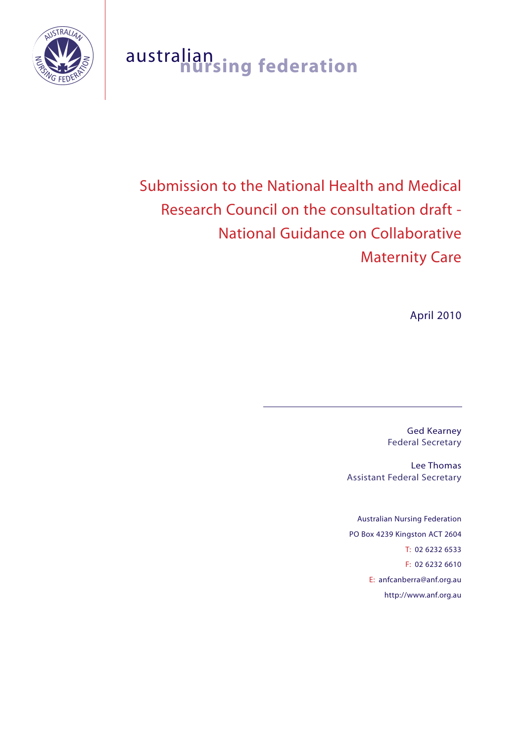

# australian **nursing federation**

# Submission to the National Health and Medical Research Council on the consultation draft - National Guidance on Collaborative Maternity Care

April 2010

Ged Kearney Federal Secretary

Lee Thomas Assistant Federal Secretary

Australian Nursing Federation PO Box 4239 Kingston ACT 2604 T: 02 6232 6533 F: 02 6232 6610 E: anfcanberra@anf.org.au http://www.anf.org.au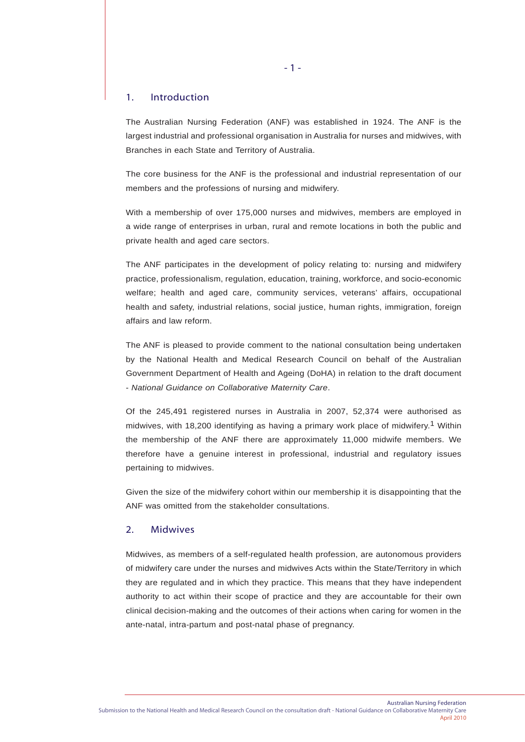# 1. Introduction

The Australian Nursing Federation (ANF) was established in 1924. The ANF is the largest industrial and professional organisation in Australia for nurses and midwives, with Branches in each State and Territory of Australia.

The core business for the ANF is the professional and industrial representation of our members and the professions of nursing and midwifery.

With a membership of over 175,000 nurses and midwives, members are employed in a wide range of enterprises in urban, rural and remote locations in both the public and private health and aged care sectors.

The ANF participates in the development of policy relating to: nursing and midwifery practice, professionalism, regulation, education, training, workforce, and socio-economic welfare; health and aged care, community services, veterans' affairs, occupational health and safety, industrial relations, social justice, human rights, immigration, foreign affairs and law reform.

The ANF is pleased to provide comment to the national consultation being undertaken by the National Health and Medical Research Council on behalf of the Australian Government Department of Health and Ageing (DoHA) in relation to the draft document - *National Guidance on Collaborative Maternity Care*.

Of the 245,491 registered nurses in Australia in 2007, 52,374 were authorised as midwives, with 18,200 identifying as having a primary work place of midwifery.1 Within the membership of the ANF there are approximately 11,000 midwife members. We therefore have a genuine interest in professional, industrial and regulatory issues pertaining to midwives.

Given the size of the midwifery cohort within our membership it is disappointing that the ANF was omitted from the stakeholder consultations.

# 2. Midwives

Midwives, as members of a self-regulated health profession, are autonomous providers of midwifery care under the nurses and midwives Acts within the State/Territory in which they are regulated and in which they practice. This means that they have independent authority to act within their scope of practice and they are accountable for their own clinical decision-making and the outcomes of their actions when caring for women in the ante-natal, intra-partum and post-natal phase of pregnancy.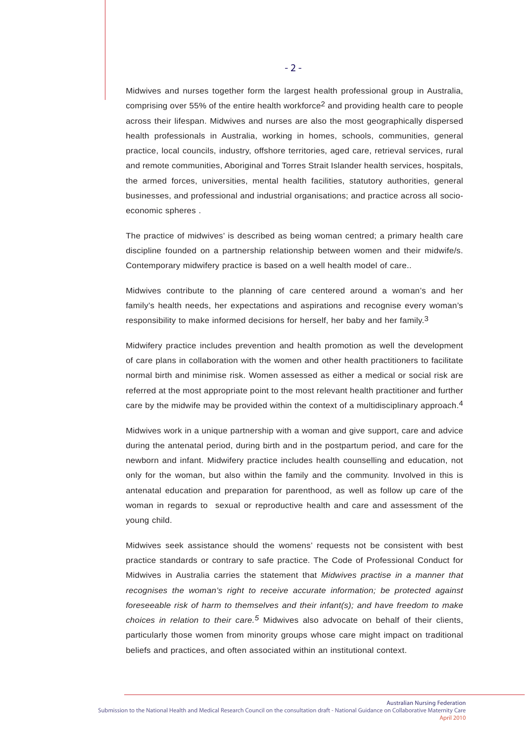Midwives and nurses together form the largest health professional group in Australia, comprising over 55% of the entire health workforce<sup>2</sup> and providing health care to people across their lifespan. Midwives and nurses are also the most geographically dispersed health professionals in Australia, working in homes, schools, communities, general practice, local councils, industry, offshore territories, aged care, retrieval services, rural and remote communities, Aboriginal and Torres Strait Islander health services, hospitals, the armed forces, universities, mental health facilities, statutory authorities, general businesses, and professional and industrial organisations; and practice across all socioeconomic spheres .

The practice of midwives' is described as being woman centred; a primary health care discipline founded on a partnership relationship between women and their midwife/s. Contemporary midwifery practice is based on a well health model of care..

Midwives contribute to the planning of care centered around a woman's and her family's health needs, her expectations and aspirations and recognise every woman's responsibility to make informed decisions for herself, her baby and her family.<sup>3</sup>

Midwifery practice includes prevention and health promotion as well the development of care plans in collaboration with the women and other health practitioners to facilitate normal birth and minimise risk. Women assessed as either a medical or social risk are referred at the most appropriate point to the most relevant health practitioner and further care by the midwife may be provided within the context of a multidisciplinary approach.<sup>4</sup>

Midwives work in a unique partnership with a woman and give support, care and advice during the antenatal period, during birth and in the postpartum period, and care for the newborn and infant. Midwifery practice includes health counselling and education, not only for the woman, but also within the family and the community. Involved in this is antenatal education and preparation for parenthood, as well as follow up care of the woman in regards to sexual or reproductive health and care and assessment of the young child.

Midwives seek assistance should the womens' requests not be consistent with best practice standards or contrary to safe practice. The Code of Professional Conduct for Midwives in Australia carries the statement that *Midwives practise in a manner that recognises the woman's right to receive accurate information; be protected against foreseeable risk of harm to themselves and their infant(s); and have freedom to make choices in relation to their care.5* Midwives also advocate on behalf of their clients, particularly those women from minority groups whose care might impact on traditional beliefs and practices, and often associated within an institutional context.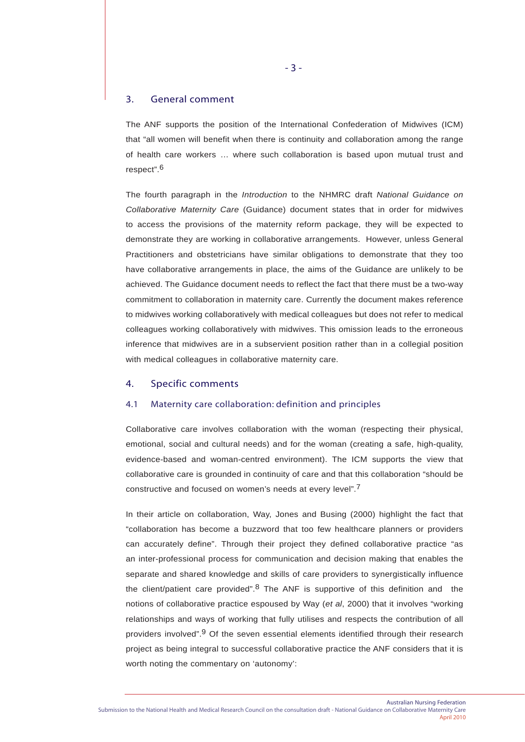# 3. General comment

The ANF supports the position of the International Confederation of Midwives (ICM) that "all women will benefit when there is continuity and collaboration among the range of health care workers … where such collaboration is based upon mutual trust and respect".6

The fourth paragraph in the *Introduction* to the NHMRC draft *National Guidance on Collaborative Maternity Care* (Guidance) document states that in order for midwives to access the provisions of the maternity reform package, they will be expected to demonstrate they are working in collaborative arrangements. However, unless General Practitioners and obstetricians have similar obligations to demonstrate that they too have collaborative arrangements in place, the aims of the Guidance are unlikely to be achieved. The Guidance document needs to reflect the fact that there must be a two-way commitment to collaboration in maternity care. Currently the document makes reference to midwives working collaboratively with medical colleagues but does not refer to medical colleagues working collaboratively with midwives. This omission leads to the erroneous inference that midwives are in a subservient position rather than in a collegial position with medical colleagues in collaborative maternity care.

# 4. Specific comments

## 4.1 Maternity care collaboration: definition and principles

Collaborative care involves collaboration with the woman (respecting their physical, emotional, social and cultural needs) and for the woman (creating a safe, high-quality, evidence-based and woman-centred environment). The ICM supports the view that collaborative care is grounded in continuity of care and that this collaboration "should be constructive and focused on women's needs at every level".7

In their article on collaboration, Way, Jones and Busing (2000) highlight the fact that "collaboration has become a buzzword that too few healthcare planners or providers can accurately define". Through their project they defined collaborative practice "as an inter-professional process for communication and decision making that enables the separate and shared knowledge and skills of care providers to synergistically influence the client/patient care provided".<sup>8</sup> The ANF is supportive of this definition and the notions of collaborative practice espoused by Way (*et al*, 2000) that it involves "working relationships and ways of working that fully utilises and respects the contribution of all providers involved".9 Of the seven essential elements identified through their research project as being integral to successful collaborative practice the ANF considers that it is worth noting the commentary on 'autonomy':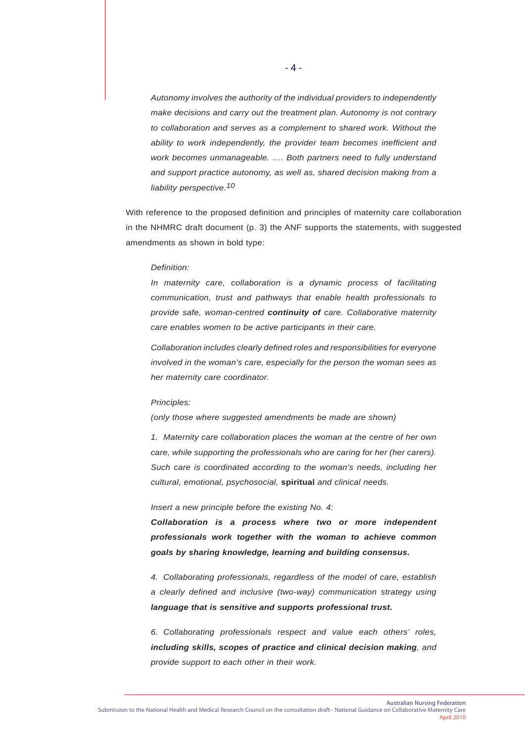*Autonomy involves the authority of the individual providers to independently make decisions and carry out the treatment plan. Autonomy is not contrary to collaboration and serves as a complement to shared work. Without the ability to work independently, the provider team becomes inefficient and work becomes unmanageable. …. Both partners need to fully understand and support practice autonomy, as well as, shared decision making from a liability perspective.10*

With reference to the proposed definition and principles of maternity care collaboration in the NHMRC draft document (p. 3) the ANF supports the statements, with suggested amendments as shown in bold type:

#### *Definition:*

*In maternity care, collaboration is a dynamic process of facilitating communication, trust and pathways that enable health professionals to provide safe, woman-centred continuity of care. Collaborative maternity care enables women to be active participants in their care.*

*Collaboration includes clearly defined roles and responsibilities for everyone involved in the woman's care, especially for the person the woman sees as her maternity care coordinator.*

#### *Principles:*

*(only those where suggested amendments be made are shown)*

*1. Maternity care collaboration places the woman at the centre of her own care, while supporting the professionals who are caring for her (her carers). Such care is coordinated according to the woman's needs, including her cultural, emotional, psychosocial,* **spiritual** *and clinical needs.*

*Insert a new principle before the existing No. 4:*

*Collaboration is a process where two or more independent professionals work together with the woman to achieve common goals by sharing knowledge, learning and building consensus.*

*4. Collaborating professionals, regardless of the model of care, establish a clearly defined and inclusive (two-way) communication strategy using language that is sensitive and supports professional trust.*

*6. Collaborating professionals respect and value each others' roles, including skills, scopes of practice and clinical decision making, and provide support to each other in their work.*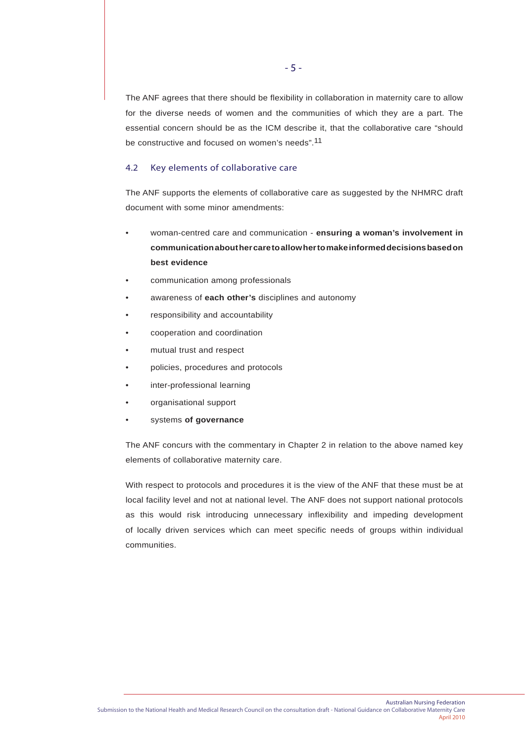The ANF agrees that there should be flexibility in collaboration in maternity care to allow for the diverse needs of women and the communities of which they are a part. The essential concern should be as the ICM describe it, that the collaborative care "should be constructive and focused on women's needs".11

# 4.2 Key elements of collaborative care

The ANF supports the elements of collaborative care as suggested by the NHMRC draft document with some minor amendments:

- woman-centred care and communication **ensuring a woman's involvement in communication about her care to allow her to make informed decisions based on best evidence**
- communication among professionals
- awareness of **each other's** disciplines and autonomy
- responsibility and accountability
- cooperation and coordination
- mutual trust and respect
- policies, procedures and protocols
- inter-professional learning
- organisational support
- systems **of governance**

The ANF concurs with the commentary in Chapter 2 in relation to the above named key elements of collaborative maternity care.

With respect to protocols and procedures it is the view of the ANF that these must be at local facility level and not at national level. The ANF does not support national protocols as this would risk introducing unnecessary inflexibility and impeding development of locally driven services which can meet specific needs of groups within individual communities.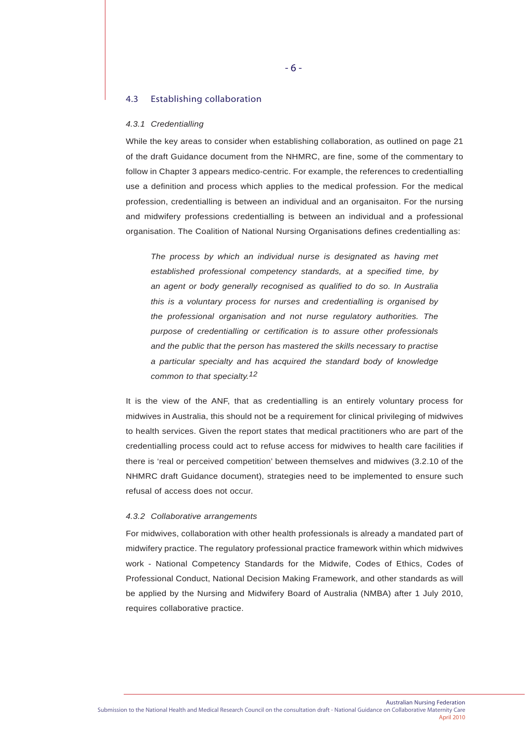#### 4.3 Establishing collaboration

#### *4.3.1 Credentialling*

While the key areas to consider when establishing collaboration, as outlined on page 21 of the draft Guidance document from the NHMRC, are fine, some of the commentary to follow in Chapter 3 appears medico-centric. For example, the references to credentialling use a definition and process which applies to the medical profession. For the medical profession, credentialling is between an individual and an organisaiton. For the nursing and midwifery professions credentialling is between an individual and a professional organisation. The Coalition of National Nursing Organisations defines credentialling as:

*The process by which an individual nurse is designated as having met established professional competency standards, at a specified time, by an agent or body generally recognised as qualified to do so. In Australia this is a voluntary process for nurses and credentialling is organised by the professional organisation and not nurse regulatory authorities. The purpose of credentialling or certification is to assure other professionals and the public that the person has mastered the skills necessary to practise a particular specialty and has acquired the standard body of knowledge common to that specialty.12*

It is the view of the ANF, that as credentialling is an entirely voluntary process for midwives in Australia, this should not be a requirement for clinical privileging of midwives to health services. Given the report states that medical practitioners who are part of the credentialling process could act to refuse access for midwives to health care facilities if there is 'real or perceived competition' between themselves and midwives (3.2.10 of the NHMRC draft Guidance document), strategies need to be implemented to ensure such refusal of access does not occur.

#### *4.3.2 Collaborative arrangements*

For midwives, collaboration with other health professionals is already a mandated part of midwifery practice. The regulatory professional practice framework within which midwives work - National Competency Standards for the Midwife, Codes of Ethics, Codes of Professional Conduct, National Decision Making Framework, and other standards as will be applied by the Nursing and Midwifery Board of Australia (NMBA) after 1 July 2010, requires collaborative practice.

- 6 -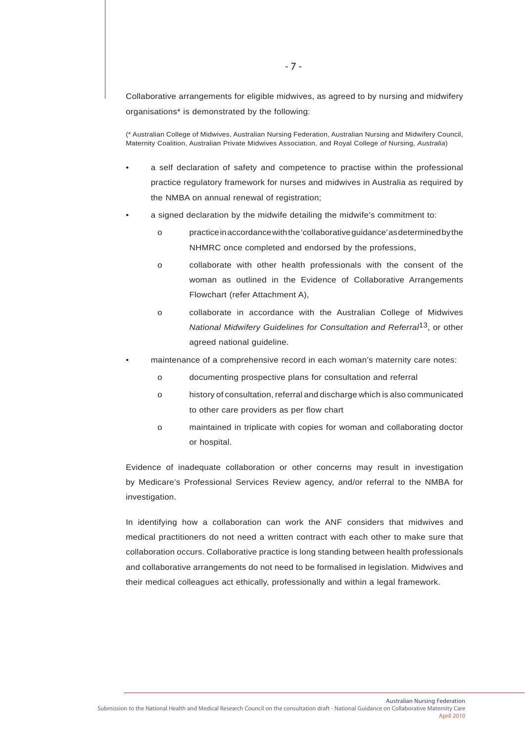Collaborative arrangements for eligible midwives, as agreed to by nursing and midwifery organisations\* is demonstrated by the following:

(\* Australian College of Midwives, Australian Nursing Federation, Australian Nursing and Midwifery Council, Maternity Coalition, Australian Private Midwives Association, and Royal College *of* Nursing, *Australia*)

- a self declaration of safety and competence to practise within the professional practice regulatory framework for nurses and midwives in Australia as required by the NMBA on annual renewal of registration;
- a signed declaration by the midwife detailing the midwife's commitment to:
	- o practice in accordance with the 'collaborative guidance' as determined by the NHMRC once completed and endorsed by the professions,
	- o collaborate with other health professionals with the consent of the woman as outlined in the Evidence of Collaborative Arrangements Flowchart (refer Attachment A),
	- o collaborate in accordance with the Australian College of Midwives *National Midwifery Guidelines for Consultation and Referral*13, or other agreed national guideline.
- maintenance of a comprehensive record in each woman's maternity care notes:
	- o documenting prospective plans for consultation and referral
	- o history of consultation, referral and discharge which is also communicated to other care providers as per flow chart
	- o maintained in triplicate with copies for woman and collaborating doctor or hospital.

Evidence of inadequate collaboration or other concerns may result in investigation by Medicare's Professional Services Review agency, and/or referral to the NMBA for investigation.

In identifying how a collaboration can work the ANF considers that midwives and medical practitioners do not need a written contract with each other to make sure that collaboration occurs. Collaborative practice is long standing between health professionals and collaborative arrangements do not need to be formalised in legislation. Midwives and their medical colleagues act ethically, professionally and within a legal framework.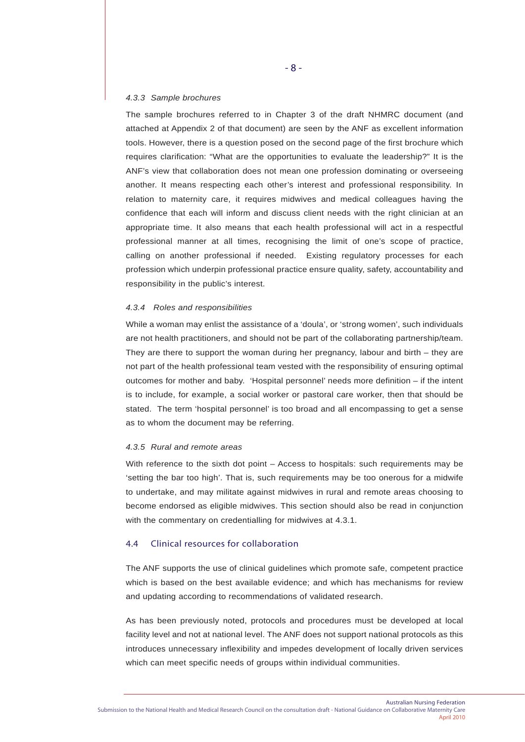#### *4.3.3 Sample brochures*

The sample brochures referred to in Chapter 3 of the draft NHMRC document (and attached at Appendix 2 of that document) are seen by the ANF as excellent information tools. However, there is a question posed on the second page of the first brochure which requires clarification: "What are the opportunities to evaluate the leadership?" It is the ANF's view that collaboration does not mean one profession dominating or overseeing another. It means respecting each other's interest and professional responsibility. In relation to maternity care, it requires midwives and medical colleagues having the confidence that each will inform and discuss client needs with the right clinician at an appropriate time. It also means that each health professional will act in a respectful professional manner at all times, recognising the limit of one's scope of practice, calling on another professional if needed. Existing regulatory processes for each profession which underpin professional practice ensure quality, safety, accountability and responsibility in the public's interest.

#### *4.3.4 Roles and responsibilities*

While a woman may enlist the assistance of a 'doula', or 'strong women', such individuals are not health practitioners, and should not be part of the collaborating partnership/team. They are there to support the woman during her pregnancy, labour and birth – they are not part of the health professional team vested with the responsibility of ensuring optimal outcomes for mother and baby. 'Hospital personnel' needs more definition – if the intent is to include, for example, a social worker or pastoral care worker, then that should be stated. The term 'hospital personnel' is too broad and all encompassing to get a sense as to whom the document may be referring.

#### *4.3.5 Rural and remote areas*

With reference to the sixth dot point – Access to hospitals: such requirements may be 'setting the bar too high'. That is, such requirements may be too onerous for a midwife to undertake, and may militate against midwives in rural and remote areas choosing to become endorsed as eligible midwives. This section should also be read in conjunction with the commentary on credentialling for midwives at 4.3.1.

# 4.4 Clinical resources for collaboration

The ANF supports the use of clinical guidelines which promote safe, competent practice which is based on the best available evidence; and which has mechanisms for review and updating according to recommendations of validated research.

As has been previously noted, protocols and procedures must be developed at local facility level and not at national level. The ANF does not support national protocols as this introduces unnecessary inflexibility and impedes development of locally driven services which can meet specific needs of groups within individual communities.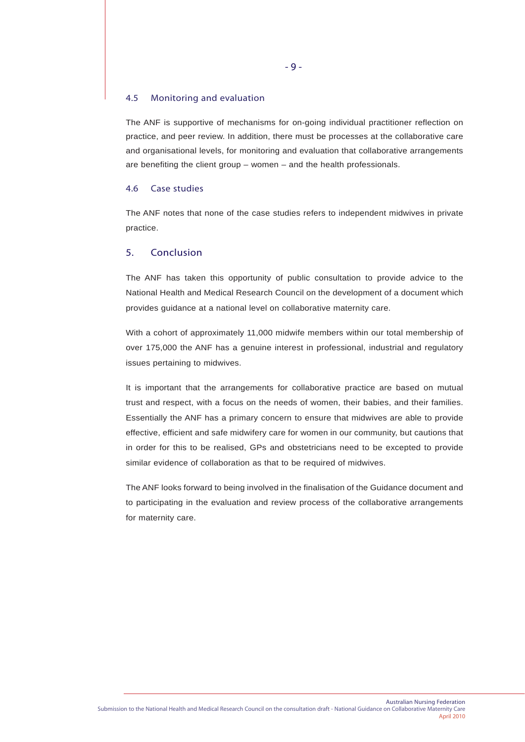# 4.5 Monitoring and evaluation

The ANF is supportive of mechanisms for on-going individual practitioner reflection on practice, and peer review. In addition, there must be processes at the collaborative care and organisational levels, for monitoring and evaluation that collaborative arrangements are benefiting the client group – women – and the health professionals.

# 4.6 Case studies

The ANF notes that none of the case studies refers to independent midwives in private practice.

# 5. Conclusion

The ANF has taken this opportunity of public consultation to provide advice to the National Health and Medical Research Council on the development of a document which provides guidance at a national level on collaborative maternity care.

With a cohort of approximately 11,000 midwife members within our total membership of over 175,000 the ANF has a genuine interest in professional, industrial and regulatory issues pertaining to midwives.

It is important that the arrangements for collaborative practice are based on mutual trust and respect, with a focus on the needs of women, their babies, and their families. Essentially the ANF has a primary concern to ensure that midwives are able to provide effective, efficient and safe midwifery care for women in our community, but cautions that in order for this to be realised, GPs and obstetricians need to be excepted to provide similar evidence of collaboration as that to be required of midwives.

The ANF looks forward to being involved in the finalisation of the Guidance document and to participating in the evaluation and review process of the collaborative arrangements for maternity care.